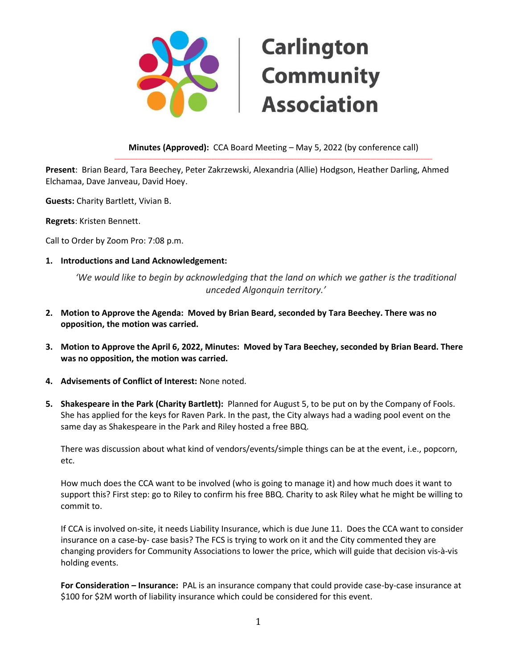

# **Carlington Community Association**

**Minutes (Approved):** CCA Board Meeting – May 5, 2022 (by conference call) \_\_\_\_\_\_\_\_\_\_\_\_\_\_\_\_\_\_\_\_\_\_\_\_\_\_\_\_\_\_\_\_\_\_\_\_\_\_\_\_\_\_\_\_\_\_\_\_\_\_\_\_\_\_\_\_\_\_\_\_\_\_\_\_\_\_\_\_\_\_\_\_\_\_\_\_\_\_\_\_\_\_\_\_\_\_\_\_\_\_\_\_\_\_\_\_\_\_\_\_\_\_\_\_\_\_\_\_

**Present**: Brian Beard, Tara Beechey, Peter Zakrzewski, Alexandria (Allie) Hodgson, Heather Darling, Ahmed Elchamaa, Dave Janveau, David Hoey.

**Guests:** Charity Bartlett, Vivian B.

**Regrets**: Kristen Bennett.

Call to Order by Zoom Pro: 7:08 p.m.

**1. Introductions and Land Acknowledgement:**

*'We would like to begin by acknowledging that the land on which we gather is the traditional unceded Algonquin territory.'*

- **2. Motion to Approve the Agenda: Moved by Brian Beard, seconded by Tara Beechey. There was no opposition, the motion was carried.**
- **3. Motion to Approve the April 6, 2022, Minutes: Moved by Tara Beechey, seconded by Brian Beard. There was no opposition, the motion was carried.**
- **4. Advisements of Conflict of Interest:** None noted.
- **5. Shakespeare in the Park (Charity Bartlett):** Planned for August 5, to be put on by the Company of Fools. She has applied for the keys for Raven Park. In the past, the City always had a wading pool event on the same day as Shakespeare in the Park and Riley hosted a free BBQ.

There was discussion about what kind of vendors/events/simple things can be at the event, i.e., popcorn, etc.

How much does the CCA want to be involved (who is going to manage it) and how much does it want to support this? First step: go to Riley to confirm his free BBQ. Charity to ask Riley what he might be willing to commit to.

If CCA is involved on-site, it needs Liability Insurance, which is due June 11. Does the CCA want to consider insurance on a case-by- case basis? The FCS is trying to work on it and the City commented they are changing providers for Community Associations to lower the price, which will guide that decision vis-à-vis holding events.

**For Consideration – Insurance:** PAL is an insurance company that could provide case-by-case insurance at \$100 for \$2M worth of liability insurance which could be considered for this event.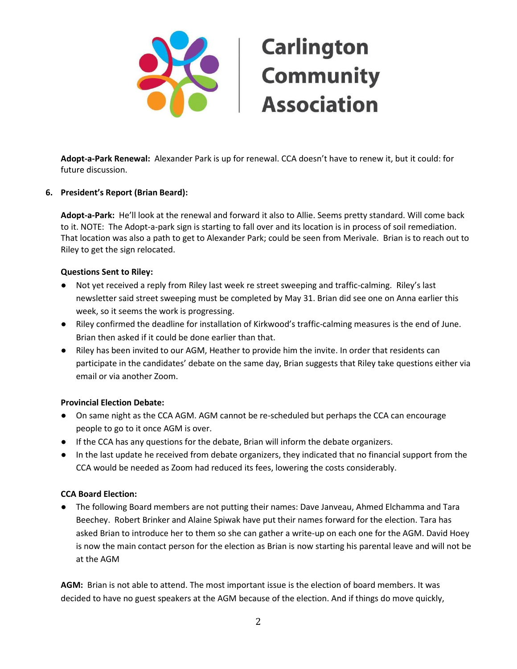

**Adopt-a-Park Renewal:** Alexander Park is up for renewal. CCA doesn't have to renew it, but it could: for future discussion.

#### **6. President's Report (Brian Beard):**

**Adopt-a-Park:** He'll look at the renewal and forward it also to Allie. Seems pretty standard. Will come back to it. NOTE: The Adopt-a-park sign is starting to fall over and its location is in process of soil remediation. That location was also a path to get to Alexander Park; could be seen from Merivale. Brian is to reach out to Riley to get the sign relocated.

#### **Questions Sent to Riley:**

- Not yet received a reply from Riley last week re street sweeping and traffic-calming. Riley's last newsletter said street sweeping must be completed by May 31. Brian did see one on Anna earlier this week, so it seems the work is progressing.
- Riley confirmed the deadline for installation of Kirkwood's traffic-calming measures is the end of June. Brian then asked if it could be done earlier than that.
- Riley has been invited to our AGM, Heather to provide him the invite. In order that residents can participate in the candidates' debate on the same day, Brian suggests that Riley take questions either via email or via another Zoom.

## **Provincial Election Debate:**

- On same night as the CCA AGM. AGM cannot be re-scheduled but perhaps the CCA can encourage people to go to it once AGM is over.
- If the CCA has any questions for the debate, Brian will inform the debate organizers.
- In the last update he received from debate organizers, they indicated that no financial support from the CCA would be needed as Zoom had reduced its fees, lowering the costs considerably.

#### **CCA Board Election:**

● The following Board members are not putting their names: Dave Janveau, Ahmed Elchamma and Tara Beechey. Robert Brinker and Alaine Spiwak have put their names forward for the election. Tara has asked Brian to introduce her to them so she can gather a write-up on each one for the AGM. David Hoey is now the main contact person for the election as Brian is now starting his parental leave and will not be at the AGM

**AGM:** Brian is not able to attend. The most important issue is the election of board members. It was decided to have no guest speakers at the AGM because of the election. And if things do move quickly,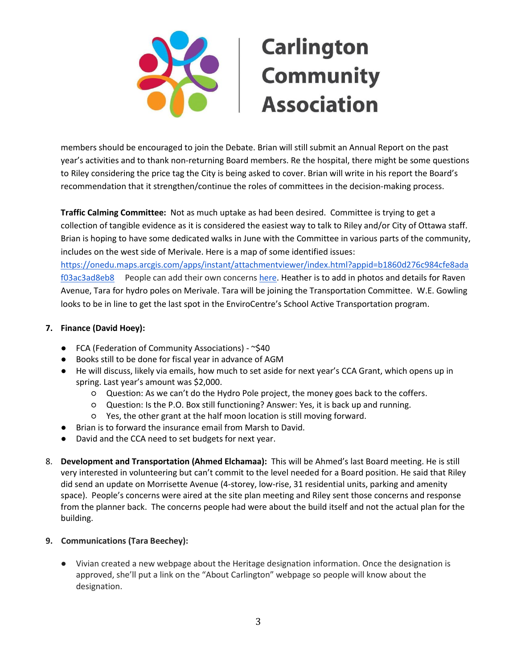

members should be encouraged to join the Debate. Brian will still submit an Annual Report on the past year's activities and to thank non-returning Board members. Re the hospital, there might be some questions to Riley considering the price tag the City is being asked to cover. Brian will write in his report the Board's recommendation that it strengthen/continue the roles of committees in the decision-making process.

**Traffic Calming Committee:** Not as much uptake as had been desired. Committee is trying to get a collection of tangible evidence as it is considered the easiest way to talk to Riley and/or City of Ottawa staff. Brian is hoping to have some dedicated walks in June with the Committee in various parts of the community, includes on the west side of Merivale. Here is a map of some identified issues: [https://onedu.maps.arcgis.com/apps/instant/attachmentviewer/index.html?appid=b1860d276c984cfe8ada](https://onedu.maps.arcgis.com/apps/instant/attachmentviewer/index.html?appid=b1860d276c984cfe8adaf03ac3ad8eb8)

[f03ac3ad8eb8](https://onedu.maps.arcgis.com/apps/instant/attachmentviewer/index.html?appid=b1860d276c984cfe8adaf03ac3ad8eb8) People can add their own concerns [here.](https://arcg.is/14PnuH) Heather is to add in photos and details for Raven Avenue, Tara for hydro poles on Merivale. Tara will be joining the Transportation Committee. W.E. Gowling looks to be in line to get the last spot in the EnviroCentre's School Active Transportation program.

## **7. Finance (David Hoey):**

- FCA (Federation of Community Associations) ~\$40
- Books still to be done for fiscal year in advance of AGM
- He will discuss, likely via emails, how much to set aside for next year's CCA Grant, which opens up in spring. Last year's amount was \$2,000.
	- Question: As we can't do the Hydro Pole project, the money goes back to the coffers.
	- Question: Is the P.O. Box still functioning? Answer: Yes, it is back up and running.
	- Yes, the other grant at the half moon location is still moving forward.
- Brian is to forward the insurance email from Marsh to David.
- David and the CCA need to set budgets for next year.
- 8. **Development and Transportation (Ahmed Elchamaa):** This will be Ahmed's last Board meeting. He is still very interested in volunteering but can't commit to the level needed for a Board position. He said that Riley did send an update on Morrisette Avenue (4-storey, low-rise, 31 residential units, parking and amenity space). People's concerns were aired at the site plan meeting and Riley sent those concerns and response from the planner back. The concerns people had were about the build itself and not the actual plan for the building.

## **9. Communications (Tara Beechey):**

● Vivian created a new webpage about the Heritage designation information. Once the designation is approved, she'll put a link on the "About Carlington" webpage so people will know about the designation.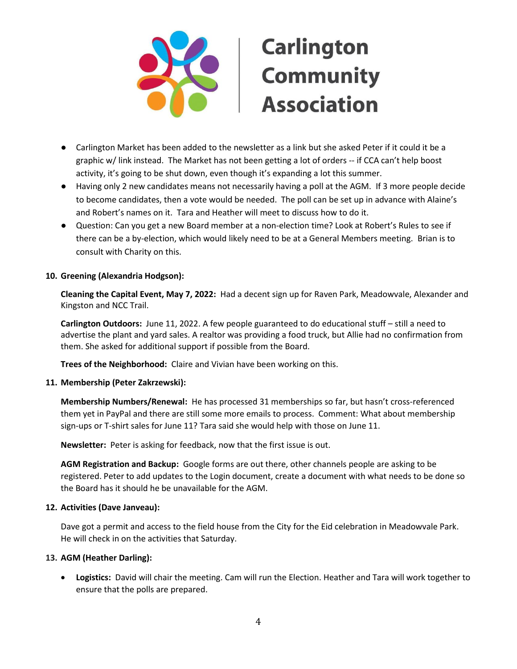

## **Carlington Community Association**

- Carlington Market has been added to the newsletter as a link but she asked Peter if it could it be a graphic w/ link instead. The Market has not been getting a lot of orders -- if CCA can't help boost activity, it's going to be shut down, even though it's expanding a lot this summer.
- Having only 2 new candidates means not necessarily having a poll at the AGM. If 3 more people decide to become candidates, then a vote would be needed. The poll can be set up in advance with Alaine's and Robert's names on it. Tara and Heather will meet to discuss how to do it.
- Question: Can you get a new Board member at a non-election time? Look at Robert's Rules to see if there can be a by-election, which would likely need to be at a General Members meeting. Brian is to consult with Charity on this.

#### **10. Greening (Alexandria Hodgson):**

**Cleaning the Capital Event, May 7, 2022:** Had a decent sign up for Raven Park, Meadowvale, Alexander and Kingston and NCC Trail.

**Carlington Outdoors:** June 11, 2022. A few people guaranteed to do educational stuff – still a need to advertise the plant and yard sales. A realtor was providing a food truck, but Allie had no confirmation from them. She asked for additional support if possible from the Board.

**Trees of the Neighborhood:** Claire and Vivian have been working on this.

## **11. Membership (Peter Zakrzewski):**

**Membership Numbers/Renewal:** He has processed 31 memberships so far, but hasn't cross-referenced them yet in PayPal and there are still some more emails to process. Comment: What about membership sign-ups or T-shirt sales for June 11? Tara said she would help with those on June 11.

**Newsletter:** Peter is asking for feedback, now that the first issue is out.

**AGM Registration and Backup:** Google forms are out there, other channels people are asking to be registered. Peter to add updates to the Login document, create a document with what needs to be done so the Board has it should he be unavailable for the AGM.

#### **12. Activities (Dave Janveau):**

Dave got a permit and access to the field house from the City for the Eid celebration in Meadowvale Park. He will check in on the activities that Saturday.

## **13. AGM (Heather Darling):**

• **Logistics:** David will chair the meeting. Cam will run the Election. Heather and Tara will work together to ensure that the polls are prepared.